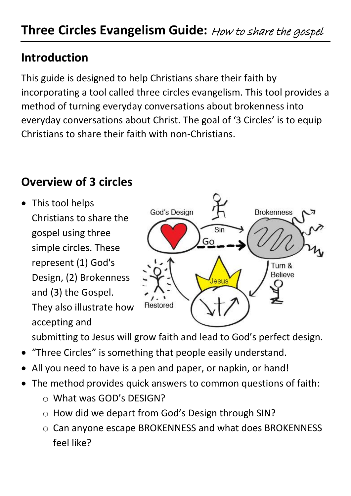## **Introduction**

This guide is designed to help Christians share their faith by incorporating a tool called three circles evangelism. This tool provides a method of turning everyday conversations about brokenness into everyday conversations about Christ. The goal of '3 Circles' is to equip Christians to share their faith with non-Christians.

## **Overview of 3 circles**

• This tool helps Christians to share the gospel using three simple circles. These represent (1) God's Design, (2) Brokenness and (3) the Gospel. They also illustrate how accepting and



submitting to Jesus will grow faith and lead to God's perfect design.

- "Three Circles" is something that people easily understand.
- All you need to have is a pen and paper, or napkin, or hand!
- The method provides quick answers to common questions of faith:
	- o What was GOD's DESIGN?
	- o How did we depart from God's Design through SIN?
	- o Can anyone escape BROKENNESS and what does BROKENNESS feel like?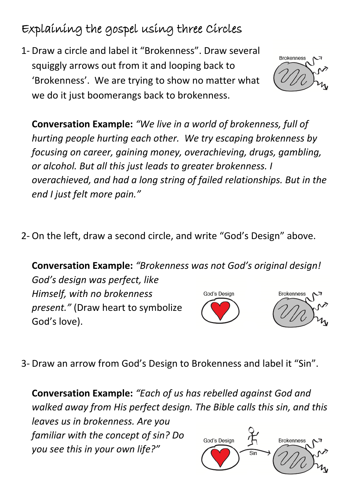## Explaining the gospel using three Circles

1- Draw a circle and label it "Brokenness". Draw several squiggly arrows out from it and looping back to 'Brokenness'. We are trying to show no matter what we do it just boomerangs back to brokenness.

**Brokenness** 

**Conversation Example:** *"We live in a world of brokenness, full of hurting people hurting each other. We try escaping brokenness by focusing on career, gaining money, overachieving, drugs, gambling, or alcohol. But all this just leads to greater brokenness. I overachieved, and had a long string of failed relationships. But in the end I just felt more pain."*

2- On the left, draw a second circle, and write "God's Design" above.

**Conversation Example:** *"Brokenness was not God's original design! God's design was perfect, like Himself, with no brokenness*  God's Design **Brokenness** 

*present."* (Draw heart to symbolize God's love).



3- Draw an arrow from God's Design to Brokenness and label it "Sin".

**Conversation Example:** *"Each of us has rebelled against God and walked away from His perfect design. The Bible calls this sin, and this leaves us in brokenness. Are you familiar with the concept of sin? Do*  God's Design **Brokenness** *you see this in your own life?"* $\overline{\text{Sin}}$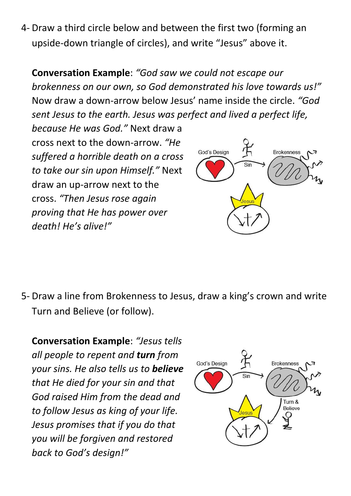4- Draw a third circle below and between the first two (forming an upside-down triangle of circles), and write "Jesus" above it.

**Conversation Example**: *"God saw we could not escape our brokenness on our own, so God demonstrated his love towards us!"* Now draw a down-arrow below Jesus' name inside the circle. *"God sent Jesus to the earth. Jesus was perfect and lived a perfect life,* 

*because He was God."* Next draw a cross next to the down-arrow. *"He suffered a horrible death on a cross to take our sin upon Himself."* Next draw an up-arrow next to the cross. *"Then Jesus rose again proving that He has power over death! He's alive!"*



5- Draw a line from Brokenness to Jesus, draw a king's crown and write Turn and Believe (or follow).

**Conversation Example**: *"Jesus tells all people to repent and turn from your sins. He also tells us to believe that He died for your sin and that God raised Him from the dead and to follow Jesus as king of your life. Jesus promises that if you do that you will be forgiven and restored back to God's design!"*